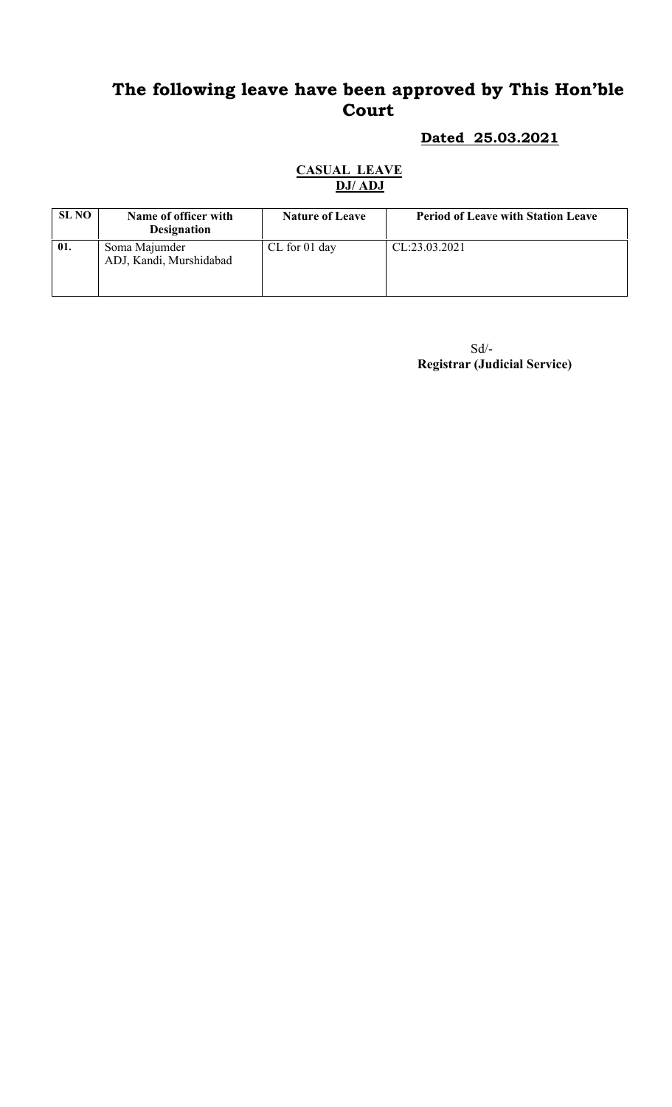# The following leave have been approved by This Hon'ble Court

# Dated 25.03.2021

#### CASUAL LEAVE DJ/ ADJ

| <b>SL NO</b> | Name of officer with                     | <b>Nature of Leave</b> | <b>Period of Leave with Station Leave</b> |
|--------------|------------------------------------------|------------------------|-------------------------------------------|
|              | <b>Designation</b>                       |                        |                                           |
| 01.          | Soma Majumder<br>ADJ, Kandi, Murshidabad | $CL$ for 01 day        | CL:23.03.2021                             |

 $\mbox{Sd}/\mbox{-}$ Registrar (Judicial Service)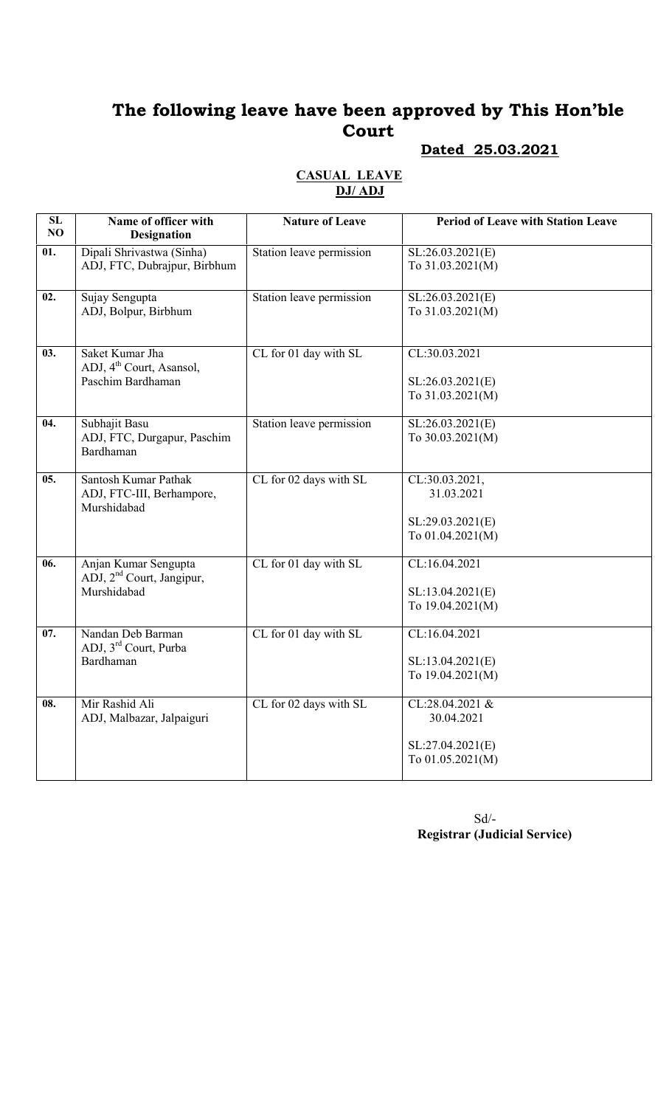# The following leave have been approved by This Hon'ble Court

## Dated 25.03.2021

#### CASUAL LEAVE DJ/ ADJ

| SL<br>NO          | Name of officer with<br><b>Designation</b>                                   | <b>Nature of Leave</b>     | <b>Period of Leave with Station Leave</b>                             |
|-------------------|------------------------------------------------------------------------------|----------------------------|-----------------------------------------------------------------------|
| 01.               | Dipali Shrivastwa (Sinha)<br>ADJ, FTC, Dubrajpur, Birbhum                    | Station leave permission   | SL:26.03.2021(E)<br>To 31.03.2021(M)                                  |
| 02.               | Sujay Sengupta<br>ADJ, Bolpur, Birbhum                                       | Station leave permission   | SL:26.03.2021(E)<br>To 31.03.2021(M)                                  |
| 03.               | Saket Kumar Jha<br>ADJ, 4 <sup>th</sup> Court, Asansol,<br>Paschim Bardhaman | CL for 01 day with SL      | CL:30.03.2021<br>SL:26.03.2021(E)<br>To 31.03.2021(M)                 |
| $\overline{04.}$  | Subhajit Basu<br>ADJ, FTC, Durgapur, Paschim<br>Bardhaman                    | Station leave permission   | SL:26.03.2021(E)<br>To 30.03.2021(M)                                  |
| $\overline{05}$ . | Santosh Kumar Pathak<br>ADJ, FTC-III, Berhampore,<br>Murshidabad             | $CL$ for $02$ days with SL | CL:30.03.2021,<br>31.03.2021<br>SL:29.03.2021(E)<br>To 01.04.2021(M)  |
| 06.               | Anjan Kumar Sengupta<br>ADJ, 2 <sup>nd</sup> Court, Jangipur,<br>Murshidabad | CL for 01 day with SL      | CL:16.04.2021<br>SL:13.04.2021(E)<br>To 19.04.2021(M)                 |
| $\overline{07}$ . | Nandan Deb Barman<br>ADJ, 3 <sup>rd</sup> Court, Purba<br>Bardhaman          | CL for 01 day with SL      | CL:16.04.2021<br>SL:13.04.2021(E)<br>To 19.04.2021(M)                 |
| 08.               | Mir Rashid Ali<br>ADJ, Malbazar, Jalpaiguri                                  | CL for 02 days with SL     | CL:28.04.2021 &<br>30.04.2021<br>SL:27.04.2021(E)<br>To 01.05.2021(M) |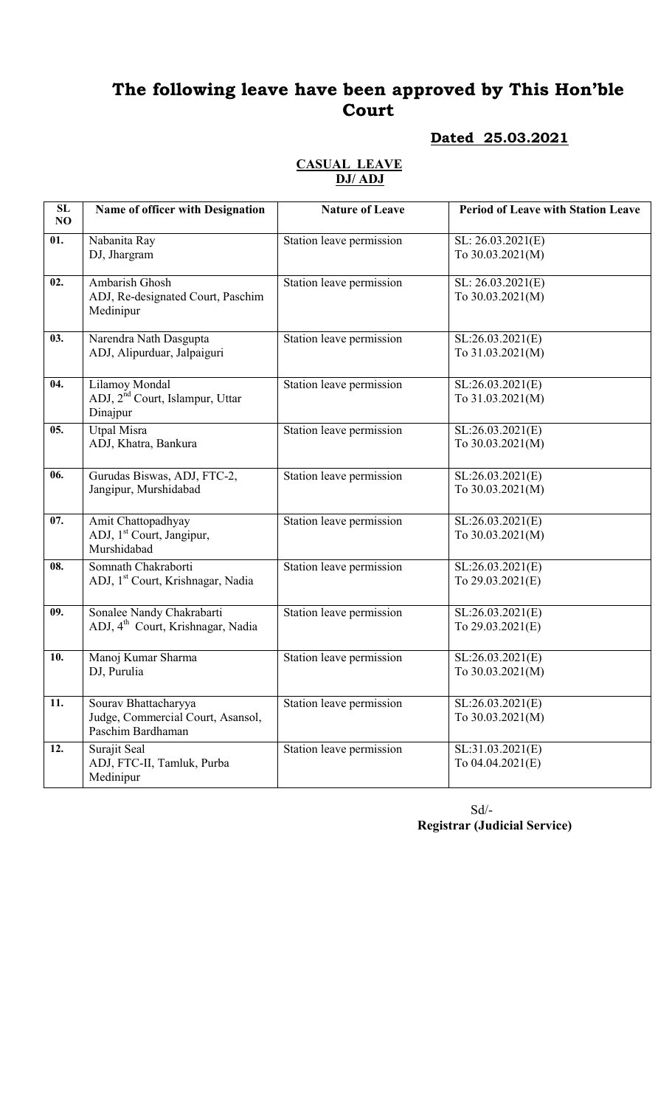# The following leave have been approved by This Hon'ble Court

## Dated 25.03.2021

#### CASUAL LEAVE DJ/ ADJ

| SL<br>NO | Name of officer with Designation                                               | <b>Nature of Leave</b>   | <b>Period of Leave with Station Leave</b> |
|----------|--------------------------------------------------------------------------------|--------------------------|-------------------------------------------|
| 01.      | Nabanita Ray<br>DJ, Jhargram                                                   | Station leave permission | SL: 26.03.2021(E)<br>To 30.03.2021(M)     |
| 02.      | <b>Ambarish Ghosh</b><br>ADJ, Re-designated Court, Paschim<br>Medinipur        | Station leave permission | SL: 26.03.2021(E)<br>To 30.03.2021(M)     |
| 03.      | Narendra Nath Dasgupta<br>ADJ, Alipurduar, Jalpaiguri                          | Station leave permission | SL:26.03.2021(E)<br>To 31.03.2021(M)      |
| 04.      | Lilamoy Mondal<br>ADJ, 2 <sup>nd</sup> Court, Islampur, Uttar<br>Dinajpur      | Station leave permission | SL:26.03.2021(E)<br>To 31.03.2021(M)      |
| 05.      | <b>Utpal Misra</b><br>ADJ, Khatra, Bankura                                     | Station leave permission | SL:26.03.2021(E)<br>To 30.03.2021(M)      |
| 06.      | Gurudas Biswas, ADJ, FTC-2,<br>Jangipur, Murshidabad                           | Station leave permission | SL:26.03.2021(E)<br>To 30.03.2021(M)      |
| 07.      | Amit Chattopadhyay<br>ADJ, 1 <sup>st</sup> Court, Jangipur,<br>Murshidabad     | Station leave permission | SL:26.03.2021(E)<br>To 30.03.2021(M)      |
| 08.      | Somnath Chakraborti<br>ADJ, 1 <sup>st</sup> Court, Krishnagar, Nadia           | Station leave permission | SL:26.03.2021(E)<br>To 29.03.2021(E)      |
| 09.      | Sonalee Nandy Chakrabarti<br>ADJ, 4 <sup>th</sup> Court, Krishnagar, Nadia     | Station leave permission | SL:26.03.2021(E)<br>To 29.03.2021(E)      |
| 10.      | Manoj Kumar Sharma<br>DJ, Purulia                                              | Station leave permission | SL:26.03.2021(E)<br>To 30.03.2021(M)      |
| 11.      | Sourav Bhattacharyya<br>Judge, Commercial Court, Asansol,<br>Paschim Bardhaman | Station leave permission | SL:26.03.2021(E)<br>To 30.03.2021(M)      |
| 12.      | Surajit Seal<br>ADJ, FTC-II, Tamluk, Purba<br>Medinipur                        | Station leave permission | SL:31.03.2021(E)<br>To 04.04.2021(E)      |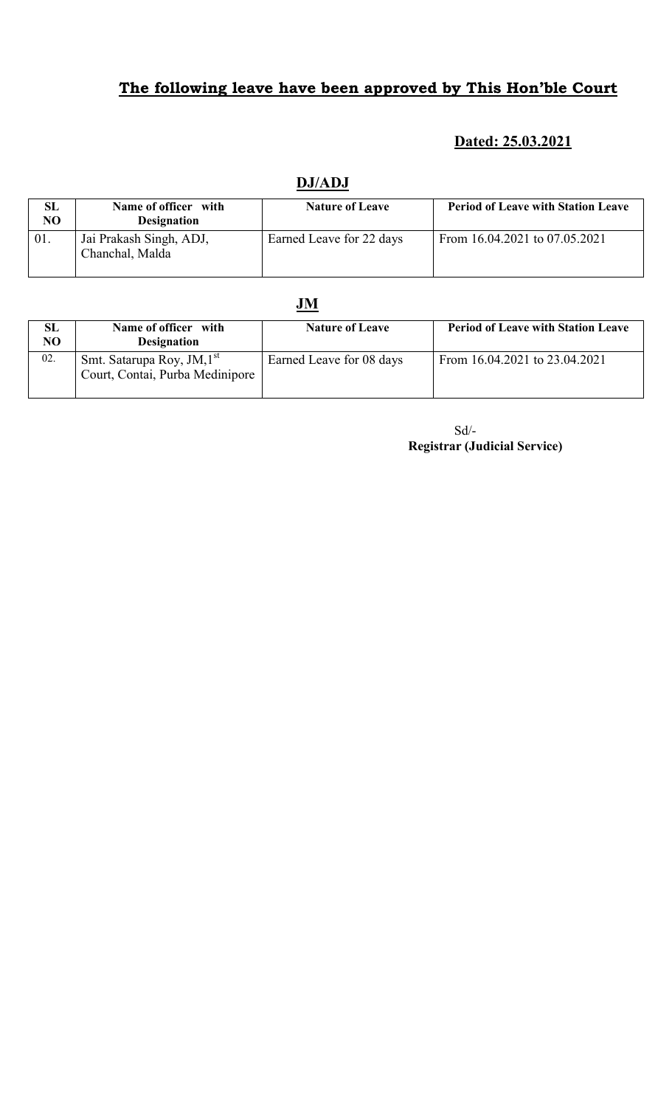# The following leave have been approved by This Hon'ble Court

## Dated: 25.03.2021

| SL<br>NO | Name of officer with<br><b>Designation</b> | <b>Nature of Leave</b>   | <b>Period of Leave with Station Leave</b> |
|----------|--------------------------------------------|--------------------------|-------------------------------------------|
| 01.      | Jai Prakash Singh, ADJ,<br>Chanchal, Malda | Earned Leave for 22 days | From 16.04.2021 to 07.05.2021             |

## DJ/ADJ

## JM

| <b>SL</b><br>NO | Name of officer with<br><b>Designation</b>                                | <b>Nature of Leave</b>   | <b>Period of Leave with Station Leave</b> |
|-----------------|---------------------------------------------------------------------------|--------------------------|-------------------------------------------|
| 02.             | Smt. Satarupa Roy, JM, 1 <sup>st</sup><br>Court, Contai, Purba Medinipore | Earned Leave for 08 days | From 16.04.2021 to 23.04.2021             |